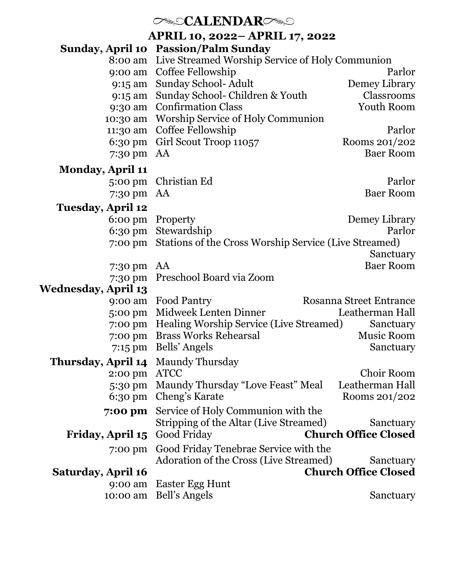# *CALENDARC*

**APRIL 10, 2022– APRIL 17, 2022**

|                            | Sunday, April 10 Passion/Palm Sunday                                         |                                |
|----------------------------|------------------------------------------------------------------------------|--------------------------------|
| 8:00 am                    | Live Streamed Worship Service of Holy Communion                              | Parlor                         |
| 9:00 am                    | Coffee Fellowship                                                            |                                |
| 9:15 am                    | Sunday School- Adult<br>Sunday School- Children & Youth                      | Demey Library<br>Classrooms    |
| 9:15 am                    | 9:30 am Confirmation Class                                                   | Youth Room                     |
| 10:30 am                   | Worship Service of Holy Communion                                            |                                |
| 11:30 am                   | Coffee Fellowship                                                            | Parlor                         |
| 6:30 pm                    | Girl Scout Troop 11057                                                       | Rooms 201/202                  |
| 7:30 pm                    | AA                                                                           | <b>Baer Room</b>               |
|                            |                                                                              |                                |
| <b>Monday, April 11</b>    |                                                                              |                                |
| 5:00 pm                    | Christian Ed                                                                 | Parlor                         |
| 7:30 pm                    | AA                                                                           | <b>Baer Room</b>               |
| <b>Tuesday, April 12</b>   |                                                                              |                                |
| $6:00 \text{ pm}$          | Property                                                                     | Demey Library                  |
| 6:30 pm                    | Stewardship                                                                  | Parlor                         |
| 7:00 pm                    | Stations of the Cross Worship Service (Live Streamed)                        | Sanctuary                      |
| 7:30 pm                    | AA                                                                           | <b>Baer Room</b>               |
| 7:30 pm                    | Preschool Board via Zoom                                                     |                                |
| <b>Wednesday, April 13</b> |                                                                              |                                |
| 9:00 am                    | Food Pantry                                                                  | <b>Rosanna Street Entrance</b> |
| 5:00 pm                    | Midweek Lenten Dinner                                                        | Leatherman Hall                |
| 7:00 pm                    | Healing Worship Service (Live Streamed)                                      | Sanctuary                      |
| 7:00 pm                    | <b>Brass Works Rehearsal</b>                                                 | Music Room                     |
| 7:15 pm                    | Bells' Angels                                                                | Sanctuary                      |
| Thursday, April 14         | Maundy Thursday                                                              |                                |
| 2:00 pm                    | <b>ATCC</b>                                                                  | Choir Room                     |
| 5:30 pm                    | Maundy Thursday "Love Feast" Meal                                            | Leatherman Hall                |
| $6:30 \text{ pm}$          | Cheng's Karate                                                               | Rooms 201/202                  |
| 7:00 pm                    | Service of Holy Communion with the<br>Stripping of the Altar (Live Streamed) | Sanctuary                      |
| Friday, April 15           | Good Friday                                                                  | <b>Church Office Closed</b>    |
| 7:00 pm                    | Good Friday Tenebrae Service with the                                        |                                |
|                            | Adoration of the Cross (Live Streamed)                                       | Sanctuary                      |
| Saturday, April 16         |                                                                              | <b>Church Office Closed</b>    |
| 9:00 am                    | <b>Easter Egg Hunt</b>                                                       |                                |
| 10:00 am                   | Bell's Angels                                                                | Sanctuary                      |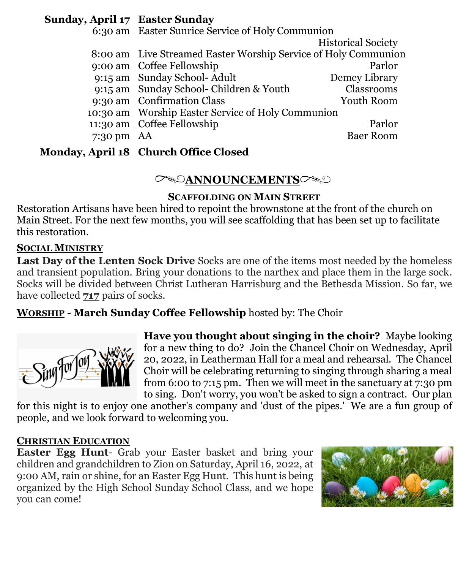### **Sunday, April 17 Easter Sunday**

|              | 6:30 am Easter Sunrice Service of Holy Communion               |                           |
|--------------|----------------------------------------------------------------|---------------------------|
|              |                                                                | <b>Historical Society</b> |
|              | 8:00 am Live Streamed Easter Worship Service of Holy Communion |                           |
|              | 9:00 am Coffee Fellowship                                      | Parlor                    |
|              | 9:15 am Sunday School-Adult                                    | Demey Library             |
|              | 9:15 am Sunday School-Children & Youth                         | Classrooms                |
|              | 9:30 am Confirmation Class                                     | Youth Room                |
|              | 10:30 am Worship Easter Service of Holy Communion              |                           |
|              | 11:30 am Coffee Fellowship                                     | Parlor                    |
| 7:30 pm $AA$ |                                                                | <b>Baer Room</b>          |
|              |                                                                |                           |

## **Monday, April 18 Church Office Closed**

## **ANNOUNCEMENTS**

### **SCAFFOLDING ON MAIN STREET**

Restoration Artisans have been hired to repoint the brownstone at the front of the church on Main Street. For the next few months, you will see scaffolding that has been set up to facilitate this restoration.

### **SOCIAL MINISTRY**

**Last Day of the Lenten Sock Drive** Socks are one of the items most needed by the homeless and transient population. Bring your donations to the narthex and place them in the large sock. Socks will be divided between Christ Lutheran Harrisburg and the Bethesda Mission. So far, we have collected **717** pairs of socks.

**WORSHIP - March Sunday Coffee Fellowship** hosted by: The Choir



**Have you thought about singing in the choir?** Maybe looking for a new thing to do? Join the Chancel Choir on Wednesday, April 20, 2022, in Leatherman Hall for a meal and rehearsal. The Chancel Choir will be celebrating returning to singing through sharing a meal from 6:00 to 7:15 pm. Then we will meet in the sanctuary at 7:30 pm to sing. Don't worry, you won't be asked to sign a contract. Our plan

for this night is to enjoy one another's company and 'dust of the pipes.' We are a fun group of people, and we look forward to welcoming you.

### **CHRISTIAN EDUCATION**

**Easter Egg Hunt**- Grab your Easter basket and bring your children and grandchildren to Zion on Saturday, April 16, 2022, at 9:00 AM, rain or shine, for an Easter Egg Hunt. This hunt is being organized by the High School Sunday School Class, and we hope you can come!

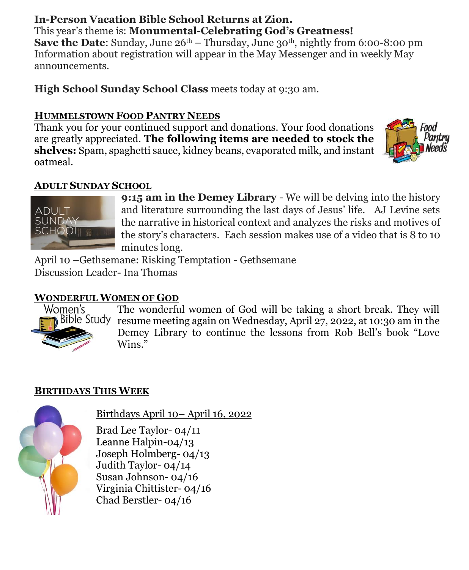#### **In-Person Vacation Bible School Returns at Zion.** This year's theme is: **Monumental-Celebrating God's Greatness!**

**Save the Date:** Sunday, June  $26<sup>th</sup> - Thursday$ , June  $30<sup>th</sup>$ , nightly from 6:00-8:00 pm Information about registration will appear in the May Messenger and in weekly May announcements.

**High School Sunday School Class** meets today at 9:30 am.

## **HUMMELSTOWN FOOD PANTRY NEEDS**

Thank you for your continued support and donations. Your food donations are greatly appreciated. **The following items are needed to stock the shelves:** Spam, spaghetti sauce, kidney beans, evaporated milk, and instant oatmeal.



## **ADULT SUNDAY SCHOOL**



**9:15 am in the Demey Library** - We will be delving into the history and literature surrounding the last days of Jesus' life. AJ Levine sets the narrative in historical context and analyzes the risks and motives of the story's characters. Each session makes use of a video that is 8 to 10 minutes long.

April 10 –Gethsemane: Risking Temptation - Gethsemane Discussion Leader- Ina Thomas

## **WONDERFUL WOMEN OF GOD**



The wonderful women of God will be taking a short break. They will Bible Study resume meeting again on Wednesday, April 27, 2022, at 10:30 am in the Demey Library to continue the lessons from Rob Bell's book "Love Wins."

## **BIRTHDAYS THIS WEEK**



Birthdays April 10– April 16, 2022

Brad Lee Taylor- 04/11 Leanne Halpin-04/13 Joseph Holmberg- 04/13 Judith Taylor- 04/14 Susan Johnson- 04/16 Virginia Chittister- 04/16 Chad Berstler- 04/16